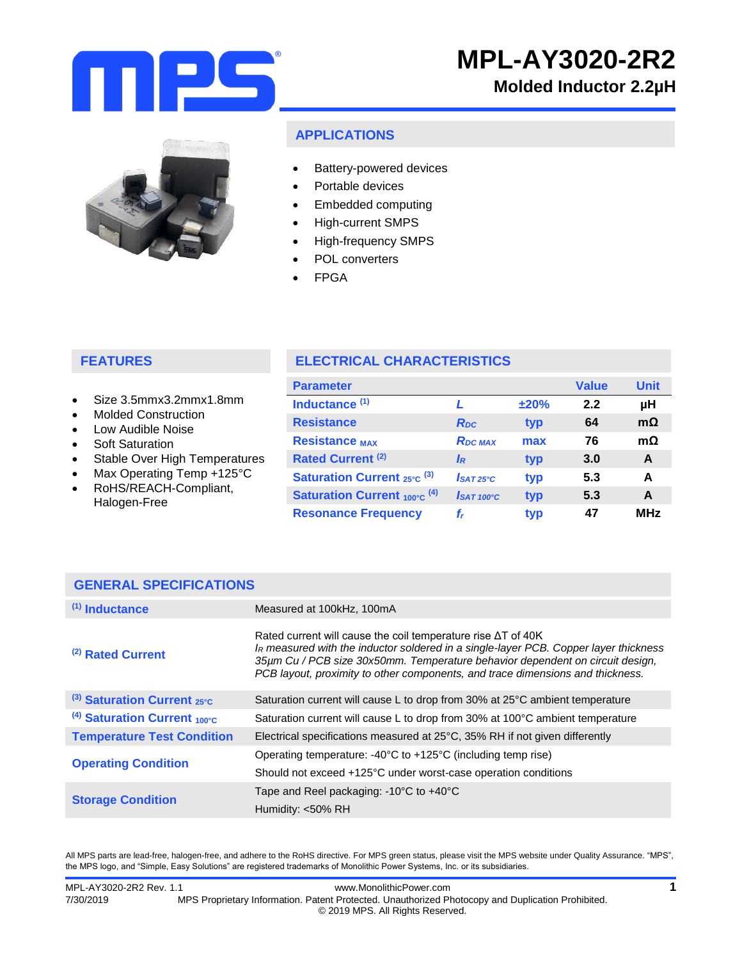

# **Molded Inductor 2.2µH**



# **APPLICATIONS**

- Battery-powered devices
- Portable devices
- Embedded computing
- High-current SMPS
- High-frequency SMPS
- POL converters
- FPGA

# **FEATURES**

- Size 3.5mmx3.2mmx1.8mm
- Molded Construction
- Low Audible Noise
- Soft Saturation
- Stable Over High Temperatures
- Max Operating Temp +125°C
- RoHS/REACH-Compliant, Halogen-Free

|  |  |  |  | <b>ELECTRICAL CHARACTERISTICS</b> |  |
|--|--|--|--|-----------------------------------|--|
|  |  |  |  |                                   |  |

| <b>Parameter</b>                             |                        |      | <b>Value</b> | <b>Unit</b> |
|----------------------------------------------|------------------------|------|--------------|-------------|
| Inductance <sup>(1)</sup>                    |                        | ±20% | 2.2          | μH          |
| <b>Resistance</b>                            | R <sub>pc</sub>        | typ  | 64           | $m\Omega$   |
| <b>Resistance MAX</b>                        | <b>RDC MAX</b>         | max  | 76           | $m\Omega$   |
| <b>Rated Current (2)</b>                     | IR                     | typ  | 3.0          | A           |
| <b>Saturation Current</b> $_{25\degree}$ (3) | $IsAT25^\circ C$       | typ  | 5.3          | A           |
| <b>Saturation Current 100°C (4)</b>          | $I_{SAT 100^{\circ}C}$ | typ  | 5.3          | A           |
| <b>Resonance Frequency</b>                   | f,                     | typ  | 47           | <b>MHz</b>  |

## **GENERAL SPECIFICATIONS**

| $(1)$ Inductance                                    | Measured at 100kHz, 100mA                                                                                                                                                                                                                                                                                                                   |
|-----------------------------------------------------|---------------------------------------------------------------------------------------------------------------------------------------------------------------------------------------------------------------------------------------------------------------------------------------------------------------------------------------------|
| (2) Rated Current                                   | Rated current will cause the coil temperature rise $\Delta T$ of 40K<br>I <sub>R</sub> measured with the inductor soldered in a single-layer PCB. Copper layer thickness<br>35µm Cu / PCB size 30x50mm. Temperature behavior dependent on circuit design,<br>PCB layout, proximity to other components, and trace dimensions and thickness. |
| (3) Saturation Current 25°C                         | Saturation current will cause L to drop from 30% at 25°C ambient temperature                                                                                                                                                                                                                                                                |
| <sup>(4)</sup> Saturation Current $_{100^{\circ}C}$ | Saturation current will cause L to drop from 30% at 100°C ambient temperature                                                                                                                                                                                                                                                               |
| <b>Temperature Test Condition</b>                   | Electrical specifications measured at 25°C, 35% RH if not given differently                                                                                                                                                                                                                                                                 |
|                                                     | Operating temperature: $-40^{\circ}$ C to $+125^{\circ}$ C (including temp rise)                                                                                                                                                                                                                                                            |
| <b>Operating Condition</b>                          | Should not exceed +125°C under worst-case operation conditions                                                                                                                                                                                                                                                                              |
| <b>Storage Condition</b>                            | Tape and Reel packaging: $-10^{\circ}$ C to $+40^{\circ}$ C                                                                                                                                                                                                                                                                                 |
|                                                     | Humidity: <50% RH                                                                                                                                                                                                                                                                                                                           |

All MPS parts are lead-free, halogen-free, and adhere to the RoHS directive. For MPS green status, please visit the MPS website under Quality Assurance. "MPS", the MPS logo, and "Simple, Easy Solutions" are registered trademarks of Monolithic Power Systems, Inc. or its subsidiaries.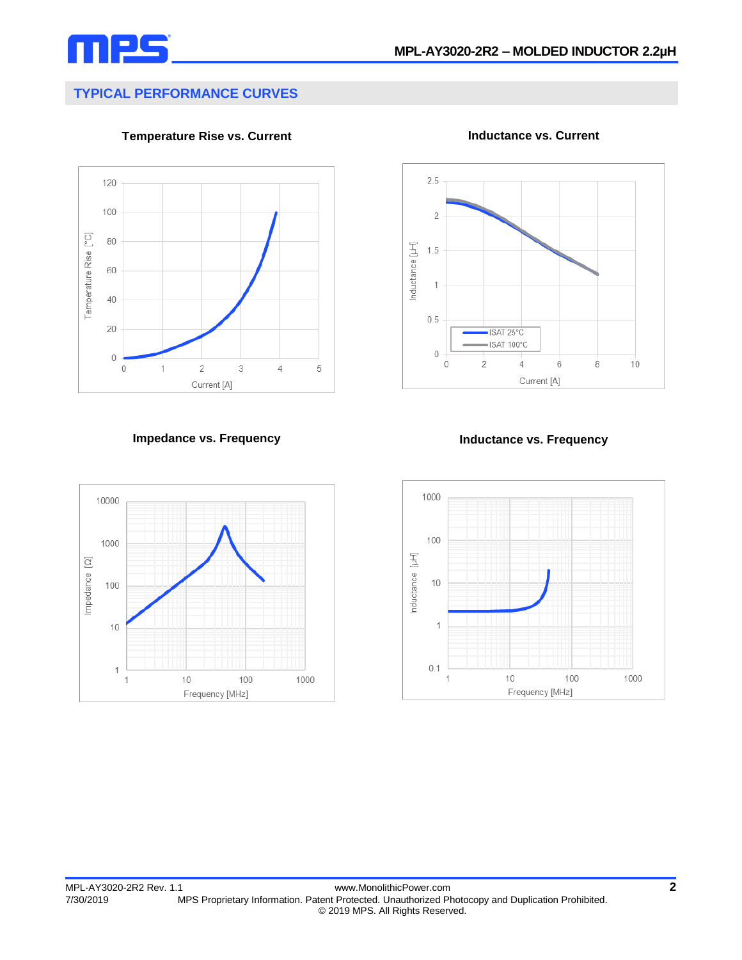

## **TYPICAL PERFORMANCE CURVES**



**Temperature Rise vs. Current Inductance vs. Current**





**Impedance vs. Frequency Inductance vs. Frequency**

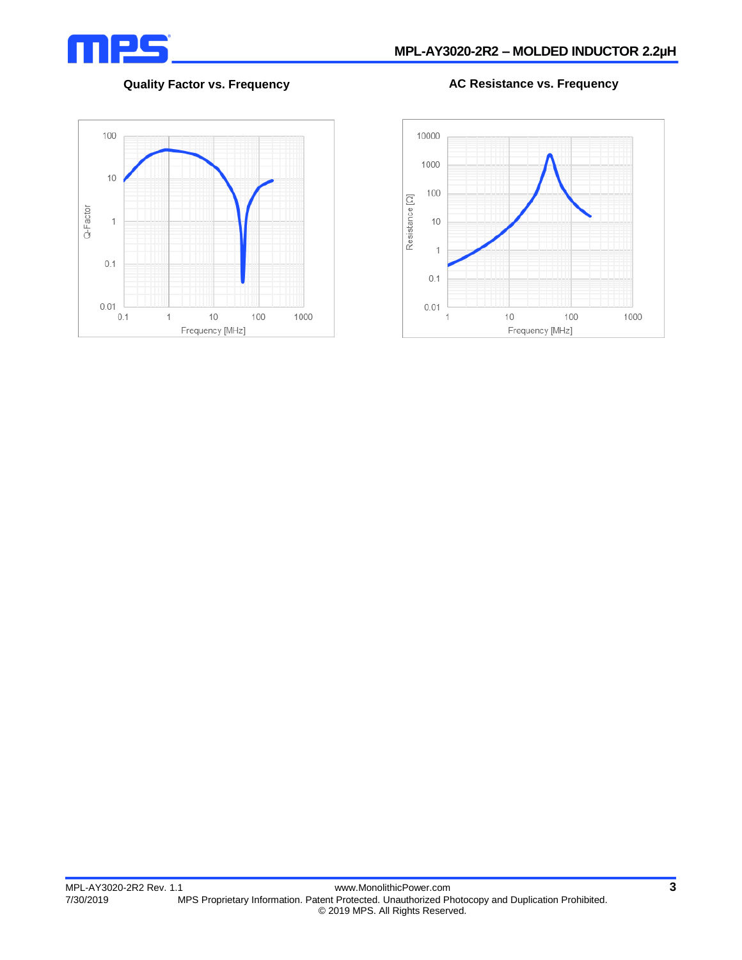

#### **Quality Factor vs. Frequency AC Resistance vs. Frequency**



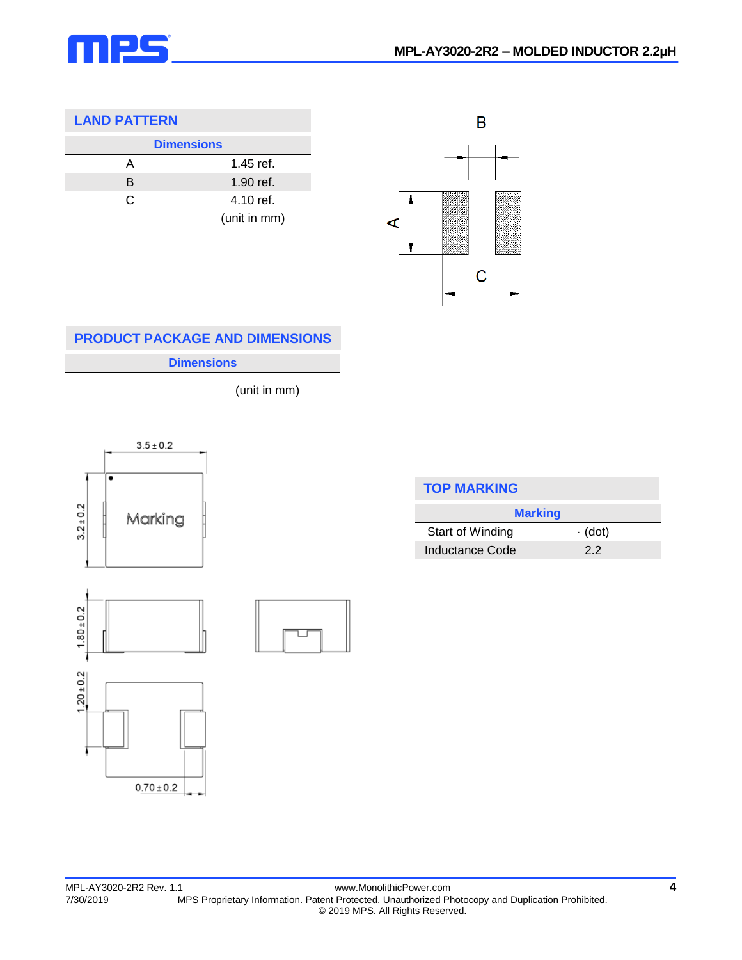

### **LAND PATTERN**

|   | <b>Dimensions</b> |
|---|-------------------|
| А | $1.45$ ref.       |
| B | $1.90$ ref.       |
| C | 4.10 ref.         |
|   | (unit in mm)      |



# **Dimensions PRODUCT PACKAGE AND DIMENSIONS**

(unit in mm)



 $0.70 \pm 0.2$ 

ī



| <b>TOP MARKING</b> |               |  |  |  |  |  |
|--------------------|---------------|--|--|--|--|--|
| <b>Marking</b>     |               |  |  |  |  |  |
| Start of Winding   | $\cdot$ (dot) |  |  |  |  |  |
| Inductance Code    | 22            |  |  |  |  |  |